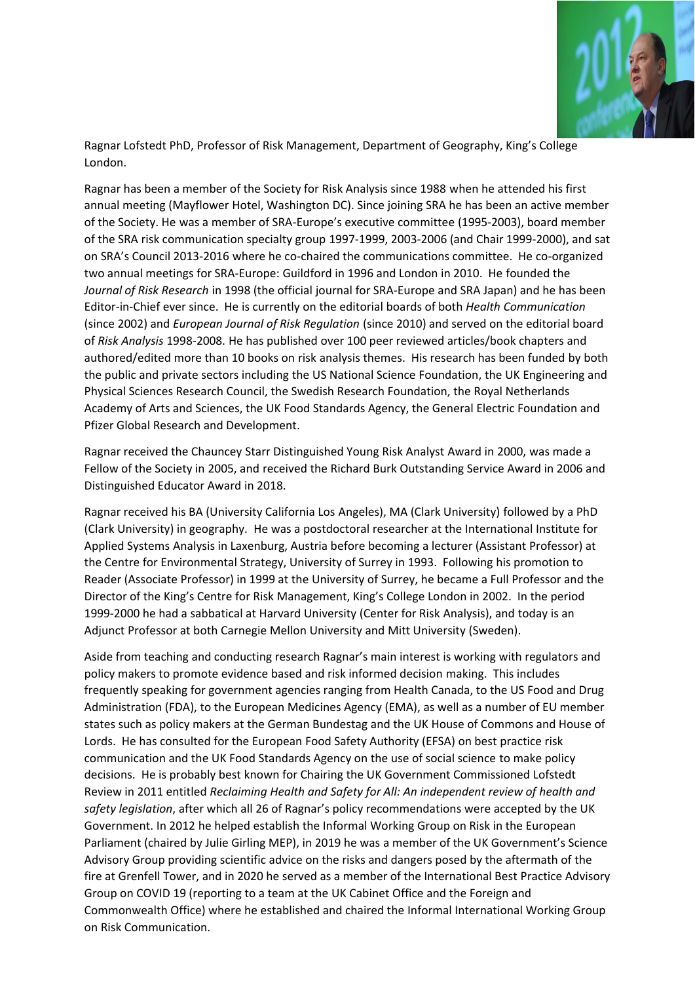

Ragnar Lofstedt PhD, Professor of Risk Management, Department of Geography, King's College London.

Ragnar has been a member of the Society for Risk Analysis since 1988 when he attended his first annual meeting (Mayflower Hotel, Washington DC). Since joining SRA he has been an active member of the Society. He was a member of SRA-Europe's executive committee (1995-2003), board member of the SRA risk communication specialty group 1997-1999, 2003-2006 (and Chair 1999-2000), and sat on SRA's Council 2013-2016 where he co-chaired the communications committee. He co-organized two annual meetings for SRA-Europe: Guildford in 1996 and London in 2010. He founded the *Journal of Risk Research* in 1998 (the official journal for SRA-Europe and SRA Japan) and he has been Editor-in-Chief ever since. He is currently on the editorial boards of both *Health Communication* (since 2002) and *European Journal of Risk Regulation* (since 2010) and served on the editorial board of *Risk Analysis* 1998-2008. He has published over 100 peer reviewed articles/book chapters and authored/edited more than 10 books on risk analysis themes. His research has been funded by both the public and private sectors including the US National Science Foundation, the UK Engineering and Physical Sciences Research Council, the Swedish Research Foundation, the Royal Netherlands Academy of Arts and Sciences, the UK Food Standards Agency, the General Electric Foundation and Pfizer Global Research and Development.

Ragnar received the Chauncey Starr Distinguished Young Risk Analyst Award in 2000, was made a Fellow of the Society in 2005, and received the Richard Burk Outstanding Service Award in 2006 and Distinguished Educator Award in 2018.

Ragnar received his BA (University California Los Angeles), MA (Clark University) followed by a PhD (Clark University) in geography. He was a postdoctoral researcher at the International Institute for Applied Systems Analysis in Laxenburg, Austria before becoming a lecturer (Assistant Professor) at the Centre for Environmental Strategy, University of Surrey in 1993. Following his promotion to Reader (Associate Professor) in 1999 at the University of Surrey, he became a Full Professor and the Director of the King's Centre for Risk Management, King's College London in 2002. In the period 1999-2000 he had a sabbatical at Harvard University (Center for Risk Analysis), and today is an Adjunct Professor at both Carnegie Mellon University and Mitt University (Sweden).

Aside from teaching and conducting research Ragnar's main interest is working with regulators and policy makers to promote evidence based and risk informed decision making. This includes frequently speaking for government agencies ranging from Health Canada, to the US Food and Drug Administration (FDA), to the European Medicines Agency (EMA), as well as a number of EU member states such as policy makers at the German Bundestag and the UK House of Commons and House of Lords. He has consulted for the European Food Safety Authority (EFSA) on best practice risk communication and the UK Food Standards Agency on the use of social science to make policy decisions. He is probably best known for Chairing the UK Government Commissioned Lofstedt Review in 2011 entitled *Reclaiming Health and Safety for All: An independent review of health and safety legislation*, after which all 26 of Ragnar's policy recommendations were accepted by the UK Government. In 2012 he helped establish the Informal Working Group on Risk in the European Parliament (chaired by Julie Girling MEP), in 2019 he was a member of the UK Government's Science Advisory Group providing scientific advice on the risks and dangers posed by the aftermath of the fire at Grenfell Tower, and in 2020 he served as a member of the International Best Practice Advisory Group on COVID 19 (reporting to a team at the UK Cabinet Office and the Foreign and Commonwealth Office) where he established and chaired the Informal International Working Group on Risk Communication.